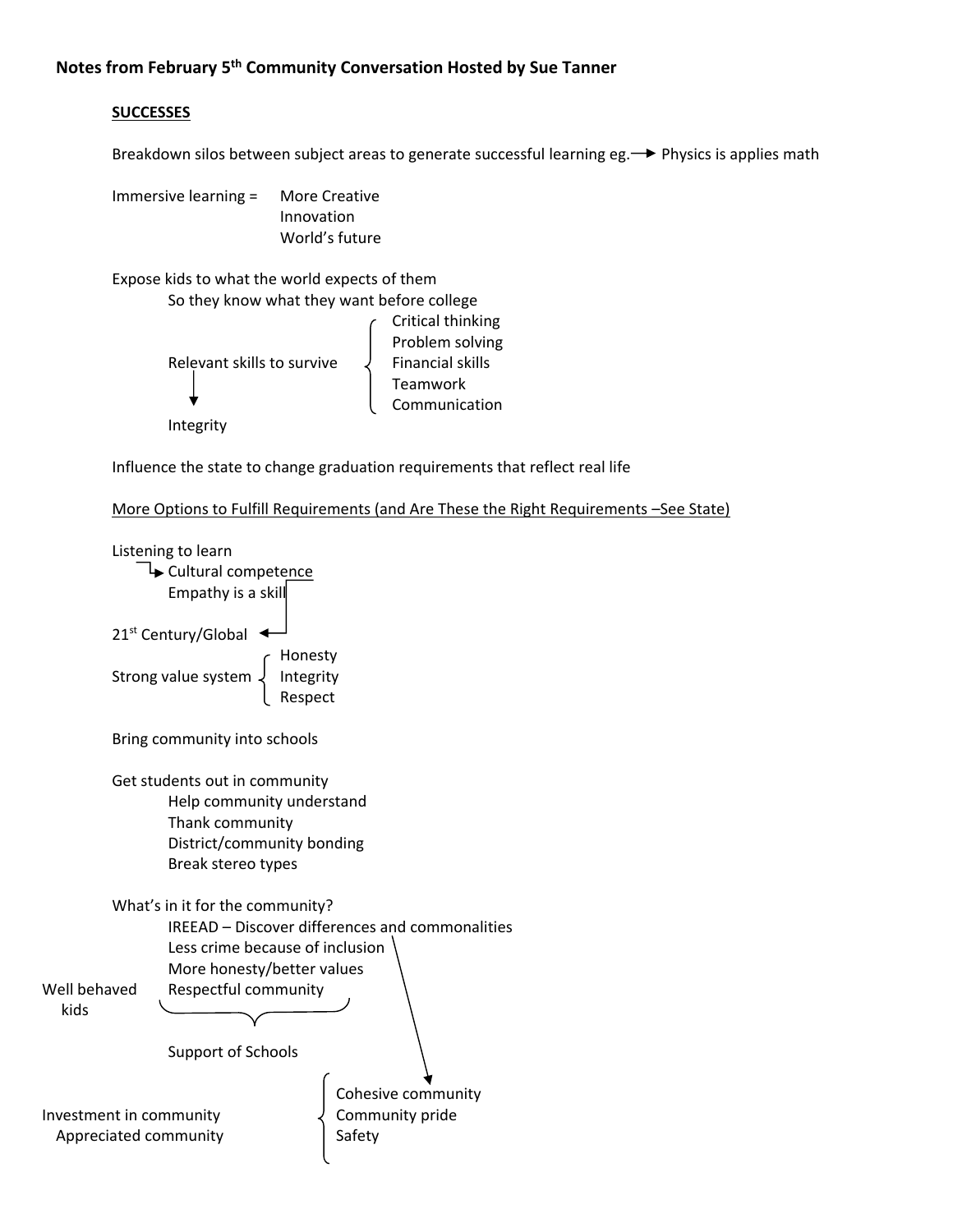## **SUCCESSES**

Breakdown silos between subject areas to generate successful learning eg. 
ighthosics is applies math

Immersive learning = More Creative Innovation World's future

Expose kids to what the world expects of them

```
So they know what they want before college
                                                          Critical thinking
                                                          Problem solving
Relevant skills to survive \downarrow Financial skills
                                               Teamwork
                                               Communication
Integrity
```
Influence the state to change graduation requirements that reflect real life

```
More Options to Fulfill Requirements (and Are These the Right Requirements –See State)
```

```
Listening to learn
              Cultural competence
                 Empathy is a skill
         21<sup>st</sup> Century/Global \triangleleftHonesty<br>Integrity
         Strong value system.
          Example 2 Respect
         Bring community into schools
         Get students out in community
                 Help community understand
                 Thank community
                 District/community bonding
                 Break stereo types
         What's in it for the community?
                 IREEAD – Discover differences and commonalities   
                 Less crime because of inclusion
                 More honesty/better values
Well behaved Respectful community
       kids
                 Support of Schools
                                             Cohesive community
Investment in community \downarrow Community pride
 Appreciated community Safety Safety
```